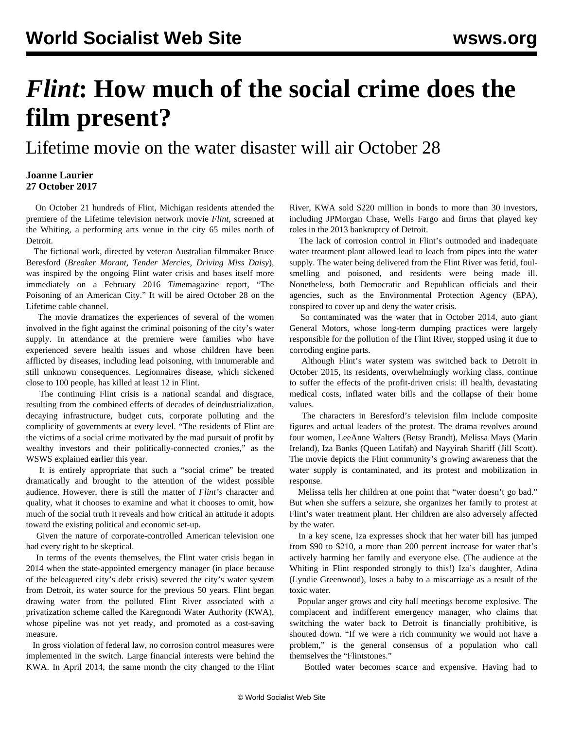## *Flint***: How much of the social crime does the film present?**

Lifetime movie on the water disaster will air October 28

## **Joanne Laurier 27 October 2017**

 On October 21 hundreds of Flint, Michigan residents attended the premiere of the Lifetime television network movie *Flint*, screened at the Whiting, a performing arts venue in the city 65 miles north of Detroit.

 The fictional work, directed by veteran Australian filmmaker Bruce Beresford (*Breaker Morant, Tender Mercies, Driving Miss Daisy*), was inspired by the ongoing Flint water crisis and bases itself more immediately on a February 2016 *Time*magazine report, "The Poisoning of an American City." It will be aired October 28 on the Lifetime cable channel.

 The movie dramatizes the experiences of several of the women involved in the fight against the criminal poisoning of the city's water supply. In attendance at the premiere were families who have experienced severe health issues and whose children have been afflicted by diseases, including lead poisoning, with innumerable and still unknown consequences. Legionnaires disease, which sickened close to 100 people, has killed at least 12 in Flint.

 The continuing Flint crisis is a national scandal and disgrace, resulting from the combined effects of decades of deindustrialization, decaying infrastructure, budget cuts, corporate polluting and the complicity of governments at every level. "The residents of Flint are the victims of a social crime motivated by the mad pursuit of profit by wealthy investors and their politically-connected cronies," as the WSWS explained earlier this year.

 It is entirely appropriate that such a "social crime" be treated dramatically and brought to the attention of the widest possible audience. However, there is still the matter of *Flint's* character and quality, what it chooses to examine and what it chooses to omit, how much of the social truth it reveals and how critical an attitude it adopts toward the existing political and economic set-up.

 Given the nature of corporate-controlled American television one had every right to be skeptical.

 In terms of the events themselves, the Flint water crisis began in 2014 when the state-appointed emergency manager (in place because of the beleaguered city's debt crisis) severed the city's water system from Detroit, its water source for the previous 50 years. Flint began drawing water from the polluted Flint River associated with a privatization scheme called the Karegnondi Water Authority (KWA), whose pipeline was not yet ready, and promoted as a cost-saving measure.

 In gross violation of federal law, no corrosion control measures were implemented in the switch. Large financial interests were behind the KWA. In April 2014, the same month the city changed to the Flint River, KWA sold \$220 million in bonds to more than 30 investors, including JPMorgan Chase, Wells Fargo and firms that played key roles in the 2013 bankruptcy of Detroit.

 The lack of corrosion control in Flint's outmoded and inadequate water treatment plant allowed lead to leach from pipes into the water supply. The water being delivered from the Flint River was fetid, foulsmelling and poisoned, and residents were being made ill. Nonetheless, both Democratic and Republican officials and their agencies, such as the Environmental Protection Agency (EPA), conspired to cover up and deny the water crisis.

 So contaminated was the water that in October 2014, auto giant General Motors, whose long-term dumping practices were largely responsible for the pollution of the Flint River, stopped using it due to corroding engine parts.

 Although Flint's water system was switched back to Detroit in October 2015, its residents, overwhelmingly working class, continue to suffer the effects of the profit-driven crisis: ill health, devastating medical costs, inflated water bills and the collapse of their home values.

 The characters in Beresford's television film include composite figures and actual leaders of the protest. The drama revolves around four women, LeeAnne Walters (Betsy Brandt), Melissa Mays (Marin Ireland), Iza Banks (Queen Latifah) and Nayyirah Shariff (Jill Scott). The movie depicts the Flint community's growing awareness that the water supply is contaminated, and its protest and mobilization in response.

 Melissa tells her children at one point that "water doesn't go bad." But when she suffers a seizure, she organizes her family to protest at Flint's water treatment plant. Her children are also adversely affected by the water.

 In a key scene, Iza expresses shock that her water bill has jumped from \$90 to \$210, a more than 200 percent increase for water that's actively harming her family and everyone else. (The audience at the Whiting in Flint responded strongly to this!) Iza's daughter, Adina (Lyndie Greenwood), loses a baby to a miscarriage as a result of the toxic water.

 Popular anger grows and city hall meetings become explosive. The complacent and indifferent emergency manager, who claims that switching the water back to Detroit is financially prohibitive, is shouted down. "If we were a rich community we would not have a problem," is the general consensus of a population who call themselves the "Flintstones."

Bottled water becomes scarce and expensive. Having had to